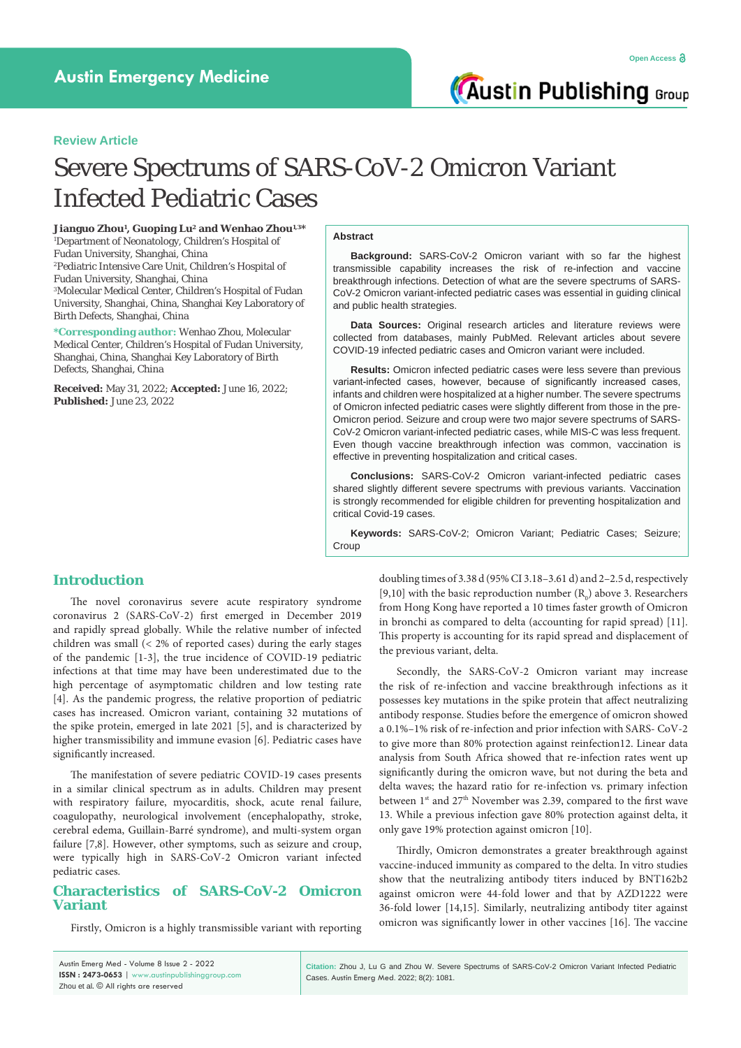### **Review Article**

# Severe Spectrums of SARS-CoV-2 Omicron Variant Infected Pediatric Cases

**Jianguo Zhou1 , Guoping Lu2 and Wenhao Zhou1,3\*** 1 Department of Neonatology, Children's Hospital of Fudan University, Shanghai, China 2 Pediatric Intensive Care Unit, Children's Hospital of Fudan University, Shanghai, China 3 Molecular Medical Center, Children's Hospital of Fudan University, Shanghai, China, Shanghai Key Laboratory of Birth Defects, Shanghai, China

**\*Corresponding author:** Wenhao Zhou, Molecular Medical Center, Children's Hospital of Fudan University, Shanghai, China, Shanghai Key Laboratory of Birth Defects, Shanghai, China

**Received:** May 31, 2022; **Accepted:** June 16, 2022; **Published:** June 23, 2022

### **Abstract**

**Background:** SARS-CoV-2 Omicron variant with so far the highest transmissible capability increases the risk of re-infection and vaccine breakthrough infections. Detection of what are the severe spectrums of SARS-CoV-2 Omicron variant-infected pediatric cases was essential in guiding clinical and public health strategies.

**Data Sources:** Original research articles and literature reviews were collected from databases, mainly PubMed. Relevant articles about severe COVID-19 infected pediatric cases and Omicron variant were included.

**Results:** Omicron infected pediatric cases were less severe than previous variant-infected cases, however, because of significantly increased cases, infants and children were hospitalized at a higher number. The severe spectrums of Omicron infected pediatric cases were slightly different from those in the pre-Omicron period. Seizure and croup were two major severe spectrums of SARS-CoV-2 Omicron variant-infected pediatric cases, while MIS-C was less frequent. Even though vaccine breakthrough infection was common, vaccination is effective in preventing hospitalization and critical cases.

**Conclusions:** SARS-CoV-2 Omicron variant-infected pediatric cases shared slightly different severe spectrums with previous variants. Vaccination is strongly recommended for eligible children for preventing hospitalization and critical Covid-19 cases.

**Keywords:** SARS-CoV-2; Omicron Variant; Pediatric Cases; Seizure; Croup

# **Introduction**

The novel coronavirus severe acute respiratory syndrome coronavirus 2 (SARS-CoV-2) first emerged in December 2019 and rapidly spread globally. While the relative number of infected children was small (< 2% of reported cases) during the early stages of the pandemic [1-3], the true incidence of COVID-19 pediatric infections at that time may have been underestimated due to the high percentage of asymptomatic children and low testing rate [4]. As the pandemic progress, the relative proportion of pediatric cases has increased. Omicron variant, containing 32 mutations of the spike protein, emerged in late 2021 [5], and is characterized by higher transmissibility and immune evasion [6]. Pediatric cases have significantly increased.

The manifestation of severe pediatric COVID-19 cases presents in a similar clinical spectrum as in adults. Children may present with respiratory failure, myocarditis, shock, acute renal failure, coagulopathy, neurological involvement (encephalopathy, stroke, cerebral edema, Guillain-Barré syndrome), and multi-system organ failure [7,8]. However, other symptoms, such as seizure and croup, were typically high in SARS-CoV-2 Omicron variant infected pediatric cases.

# **Characteristics of SARS-CoV-2 Omicron Variant**

Firstly, Omicron is a highly transmissible variant with reporting

doubling times of 3.38 d (95% CI 3.18–3.61 d) and 2–2.5 d, respectively [9,10] with the basic reproduction number  $(R_0)$  above 3. Researchers from Hong Kong have reported a 10 times faster growth of Omicron in bronchi as compared to delta (accounting for rapid spread) [11]. This property is accounting for its rapid spread and displacement of the previous variant, delta.

Secondly, the SARS-CoV-2 Omicron variant may increase the risk of re-infection and vaccine breakthrough infections as it possesses key mutations in the spike protein that affect neutralizing antibody response. Studies before the emergence of omicron showed a 0.1%–1% risk of re-infection and prior infection with SARS- CoV-2 to give more than 80% protection against reinfection12. Linear data analysis from South Africa showed that re-infection rates went up significantly during the omicron wave, but not during the beta and delta waves; the hazard ratio for re-infection vs. primary infection between 1<sup>st</sup> and 27<sup>th</sup> November was 2.39, compared to the first wave 13. While a previous infection gave 80% protection against delta, it only gave 19% protection against omicron [10].

Thirdly, Omicron demonstrates a greater breakthrough against vaccine-induced immunity as compared to the delta. In vitro studies show that the neutralizing antibody titers induced by BNT162b2 against omicron were 44-fold lower and that by AZD1222 were 36-fold lower [14,15]. Similarly, neutralizing antibody titer against omicron was significantly lower in other vaccines [16]. The vaccine

| Austin Emerg Med - Volume 8 Issue 2 - 2022      |
|-------------------------------------------------|
| ISSN: 2473-0653   www.austinpublishinggroup.com |
| Zhou et al. © All rights are reserved           |

**Citation:** Zhou J, Lu G and Zhou W. Severe Spectrums of SARS-CoV-2 Omicron Variant Infected Pediatric Cases. Austin Emerg Med. 2022; 8(2): 1081.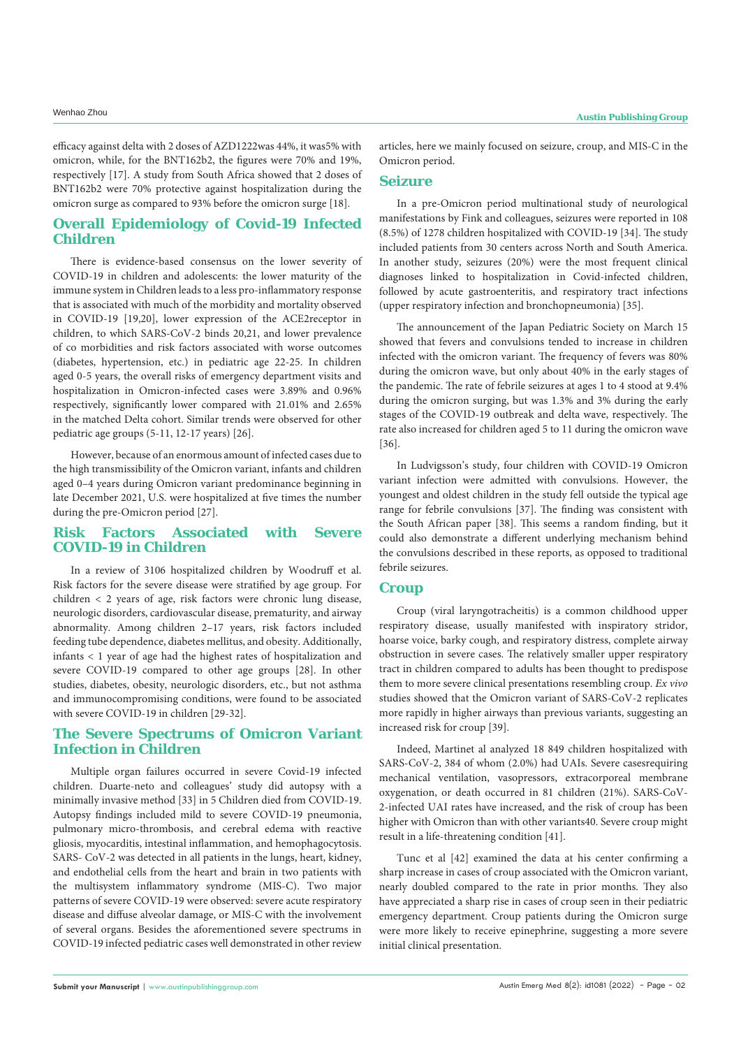efficacy against delta with 2 doses of AZD1222was 44%, it was5% with omicron, while, for the BNT162b2, the figures were 70% and 19%, respectively [17]. A study from South Africa showed that 2 doses of BNT162b2 were 70% protective against hospitalization during the omicron surge as compared to 93% before the omicron surge [18].

# **Overall Epidemiology of Covid-19 Infected Children**

There is evidence-based consensus on the lower severity of COVID-19 in children and adolescents: the lower maturity of the immune system in Children leads to a less pro-inflammatory response that is associated with much of the morbidity and mortality observed in COVID-19 [19,20], lower expression of the ACE2receptor in children, to which SARS-CoV-2 binds 20,21, and lower prevalence of co morbidities and risk factors associated with worse outcomes (diabetes, hypertension, etc.) in pediatric age 22-25. In children aged 0-5 years, the overall risks of emergency department visits and hospitalization in Omicron-infected cases were 3.89% and 0.96% respectively, significantly lower compared with 21.01% and 2.65% in the matched Delta cohort. Similar trends were observed for other pediatric age groups (5-11, 12-17 years) [26].

However, because of an enormous amount of infected cases due to the high transmissibility of the Omicron variant, infants and children aged 0–4 years during Omicron variant predominance beginning in late December 2021, U.S. were hospitalized at five times the number during the pre-Omicron period [27].

# **Risk Factors Associated with Severe COVID-19 in Children**

In a review of 3106 hospitalized children by Woodruff et al. Risk factors for the severe disease were stratified by age group. For children < 2 years of age, risk factors were chronic lung disease, neurologic disorders, cardiovascular disease, prematurity, and airway abnormality. Among children 2–17 years, risk factors included feeding tube dependence, diabetes mellitus, and obesity. Additionally, infants < 1 year of age had the highest rates of hospitalization and severe COVID-19 compared to other age groups [28]. In other studies, diabetes, obesity, neurologic disorders, etc., but not asthma and immunocompromising conditions, were found to be associated with severe COVID-19 in children [29-32].

# **The Severe Spectrums of Omicron Variant Infection in Children**

Multiple organ failures occurred in severe Covid-19 infected children. Duarte-neto and colleagues' study did autopsy with a minimally invasive method [33] in 5 Children died from COVID-19. Autopsy findings included mild to severe COVID-19 pneumonia, pulmonary micro-thrombosis, and cerebral edema with reactive gliosis, myocarditis, intestinal inflammation, and hemophagocytosis. SARS- CoV-2 was detected in all patients in the lungs, heart, kidney, and endothelial cells from the heart and brain in two patients with the multisystem inflammatory syndrome (MIS-C). Two major patterns of severe COVID-19 were observed: severe acute respiratory disease and diffuse alveolar damage, or MIS-C with the involvement of several organs. Besides the aforementioned severe spectrums in COVID-19 infected pediatric cases well demonstrated in other review articles, here we mainly focused on seizure, croup, and MIS-C in the Omicron period.

### **Seizure**

In a pre-Omicron period multinational study of neurological manifestations by Fink and colleagues, seizures were reported in 108 (8.5%) of 1278 children hospitalized with COVID-19 [34]. The study included patients from 30 centers across North and South America. In another study, seizures (20%) were the most frequent clinical diagnoses linked to hospitalization in Covid-infected children, followed by acute gastroenteritis, and respiratory tract infections (upper respiratory infection and bronchopneumonia) [35].

The announcement of the Japan Pediatric Society on March 15 showed that fevers and convulsions tended to increase in children infected with the omicron variant. The frequency of fevers was 80% during the omicron wave, but only about 40% in the early stages of the pandemic. The rate of febrile seizures at ages 1 to 4 stood at 9.4% during the omicron surging, but was 1.3% and 3% during the early stages of the COVID-19 outbreak and delta wave, respectively. The rate also increased for children aged 5 to 11 during the omicron wave [36].

In Ludvigsson's study, four children with COVID-19 Omicron variant infection were admitted with convulsions. However, the youngest and oldest children in the study fell outside the typical age range for febrile convulsions [37]. The finding was consistent with the South African paper [38]. This seems a random finding, but it could also demonstrate a different underlying mechanism behind the convulsions described in these reports, as opposed to traditional febrile seizures.

### **Croup**

Croup (viral laryngotracheitis) is a common childhood upper respiratory disease, usually manifested with inspiratory stridor, hoarse voice, barky cough, and respiratory distress, complete airway obstruction in severe cases. The relatively smaller upper respiratory tract in children compared to adults has been thought to predispose them to more severe clinical presentations resembling croup. *Ex vivo* studies showed that the Omicron variant of SARS-CoV-2 replicates more rapidly in higher airways than previous variants, suggesting an increased risk for croup [39].

Indeed, Martinet al analyzed 18 849 children hospitalized with SARS-CoV-2, 384 of whom (2.0%) had UAIs. Severe casesrequiring mechanical ventilation, vasopressors, extracorporeal membrane oxygenation, or death occurred in 81 children (21%). SARS-CoV-2-infected UAI rates have increased, and the risk of croup has been higher with Omicron than with other variants40. Severe croup might result in a life-threatening condition [41].

Tunc et al [42] examined the data at his center confirming a sharp increase in cases of croup associated with the Omicron variant, nearly doubled compared to the rate in prior months. They also have appreciated a sharp rise in cases of croup seen in their pediatric emergency department. Croup patients during the Omicron surge were more likely to receive epinephrine, suggesting a more severe initial clinical presentation.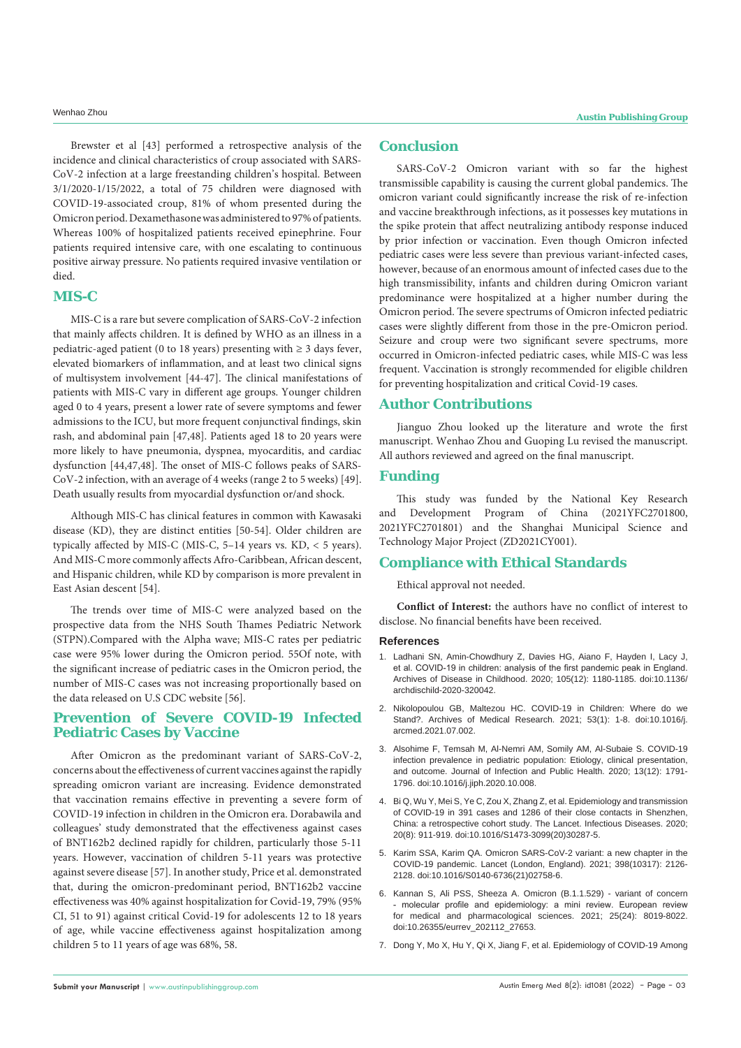Brewster et al [43] performed a retrospective analysis of the incidence and clinical characteristics of croup associated with SARS-CoV-2 infection at a large freestanding children's hospital. Between 3/1/2020-1/15/2022, a total of 75 children were diagnosed with COVID-19-associated croup, 81% of whom presented during the Omicron period. Dexamethasone was administered to 97% of patients. Whereas 100% of hospitalized patients received epinephrine. Four patients required intensive care, with one escalating to continuous positive airway pressure. No patients required invasive ventilation or died.

### **MIS-C**

MIS-C is a rare but severe complication of SARS-CoV-2 infection that mainly affects children. It is defined by WHO as an illness in a pediatric-aged patient (0 to 18 years) presenting with  $\geq$  3 days fever, elevated biomarkers of inflammation, and at least two clinical signs of multisystem involvement [44-47]. The clinical manifestations of patients with MIS-C vary in different age groups. Younger children aged 0 to 4 years, present a lower rate of severe symptoms and fewer admissions to the ICU, but more frequent conjunctival findings, skin rash, and abdominal pain [47,48]. Patients aged 18 to 20 years were more likely to have pneumonia, dyspnea, myocarditis, and cardiac dysfunction [44,47,48]. The onset of MIS-C follows peaks of SARS-CoV-2 infection, with an average of 4 weeks (range 2 to 5 weeks) [49]. Death usually results from myocardial dysfunction or/and shock.

Although MIS-C has clinical features in common with Kawasaki disease (KD), they are distinct entities [50-54]. Older children are typically affected by MIS-C (MIS-C, 5–14 years vs. KD, < 5 years). And MIS-C more commonly affects Afro-Caribbean, African descent, and Hispanic children, while KD by comparison is more prevalent in East Asian descent [54].

The trends over time of MIS-C were analyzed based on the prospective data from the NHS South Thames Pediatric Network (STPN).Compared with the Alpha wave; MIS-C rates per pediatric case were 95% lower during the Omicron period. 55Of note, with the significant increase of pediatric cases in the Omicron period, the number of MIS-C cases was not increasing proportionally based on the data released on U.S CDC website [56].

# **Prevention of Severe COVID-19 Infected Pediatric Cases by Vaccine**

After Omicron as the predominant variant of SARS-CoV-2, concerns about the effectiveness of current vaccines against the rapidly spreading omicron variant are increasing. Evidence demonstrated that vaccination remains effective in preventing a severe form of COVID-19 infection in children in the Omicron era. Dorabawila and colleagues' study demonstrated that the effectiveness against cases of BNT162b2 declined rapidly for children, particularly those 5-11 years. However, vaccination of children 5-11 years was protective against severe disease [57]. In another study, Price et al. demonstrated that, during the omicron-predominant period, BNT162b2 vaccine effectiveness was 40% against hospitalization for Covid-19, 79% (95% CI, 51 to 91) against critical Covid-19 for adolescents 12 to 18 years of age, while vaccine effectiveness against hospitalization among children 5 to 11 years of age was 68%, 58.

# **Conclusion**

SARS-CoV-2 Omicron variant with so far the highest transmissible capability is causing the current global pandemics. The omicron variant could significantly increase the risk of re-infection and vaccine breakthrough infections, as it possesses key mutations in the spike protein that affect neutralizing antibody response induced by prior infection or vaccination. Even though Omicron infected pediatric cases were less severe than previous variant-infected cases, however, because of an enormous amount of infected cases due to the high transmissibility, infants and children during Omicron variant predominance were hospitalized at a higher number during the Omicron period. The severe spectrums of Omicron infected pediatric cases were slightly different from those in the pre-Omicron period. Seizure and croup were two significant severe spectrums, more occurred in Omicron-infected pediatric cases, while MIS-C was less frequent. Vaccination is strongly recommended for eligible children for preventing hospitalization and critical Covid-19 cases.

### **Author Contributions**

Jianguo Zhou looked up the literature and wrote the first manuscript. Wenhao Zhou and Guoping Lu revised the manuscript. All authors reviewed and agreed on the final manuscript.

### **Funding**

This study was funded by the National Key Research Development Program of China (2021YFC2701800, 2021YFC2701801) and the Shanghai Municipal Science and Technology Major Project (ZD2021CY001).

# **Compliance with Ethical Standards**

Ethical approval not needed.

**Conflict of Interest:** the authors have no conflict of interest to disclose. No financial benefits have been received.

### **References**

- 1. [Ladhani SN, Amin-Chowdhury Z, Davies HG, Aiano F, Hayden I, Lacy J,](https://dx.doi.org/10.1136/archdischild-2020-320042)  [et al. COVID-19 in children: analysis of the first pandemic peak in England.](https://dx.doi.org/10.1136/archdischild-2020-320042)  [Archives of Disease in Childhood. 2020; 105\(12\): 1180-1185. doi:10.1136/](https://dx.doi.org/10.1136/archdischild-2020-320042) [archdischild-2020-320042.](https://dx.doi.org/10.1136/archdischild-2020-320042)
- 2. [Nikolopoulou GB, Maltezou HC. COVID-19 in Children: Where do we](https://dx.doi.org/10.1016/j.arcmed.2021.07.002)  [Stand?. Archives of Medical Research. 2021; 53\(1\): 1-8. doi:10.1016/j.](https://dx.doi.org/10.1016/j.arcmed.2021.07.002) [arcmed.2021.07.002](https://dx.doi.org/10.1016/j.arcmed.2021.07.002).
- 3. [Alsohime F, Temsah M, Al-Nemri AM, Somily AM, Al-Subaie S. COVID-19](https://dx.doi.org/10.1016/j.jiph.2020.10.008)  [infection prevalence in pediatric population: Etiology, clinical presentation,](https://dx.doi.org/10.1016/j.jiph.2020.10.008)  [and outcome. Journal of Infection and Public Health. 2020; 13\(12\): 1791-](https://dx.doi.org/10.1016/j.jiph.2020.10.008) [1796. doi:10.1016/j.jiph.2020.10.008](https://dx.doi.org/10.1016/j.jiph.2020.10.008).
- 4. [Bi Q, Wu Y, Mei S, Ye C, Zou X, Zhang Z, et al. Epidemiology and transmission](https://dx.doi.org/10.1016/S1473-3099(20)30287-5)  [of COVID-19 in 391 cases and 1286 of their close contacts in Shenzhen,](https://dx.doi.org/10.1016/S1473-3099(20)30287-5)  [China: a retrospective cohort study. The Lancet. Infectious Diseases. 2020;](https://dx.doi.org/10.1016/S1473-3099(20)30287-5)  [20\(8\): 911-919. doi:10.1016/S1473-3099\(20\)30287-5.](https://dx.doi.org/10.1016/S1473-3099(20)30287-5)
- 5. [Karim SSA, Karim QA. Omicron SARS-CoV-2 variant: a new chapter in the](https://dx.doi.org/10.1016/S0140-6736(21)02758-6)  [COVID-19 pandemic. Lancet \(London, England\). 2021; 398\(10317\): 2126-](https://dx.doi.org/10.1016/S0140-6736(21)02758-6) [2128. doi:10.1016/S0140-6736\(21\)02758-6](https://dx.doi.org/10.1016/S0140-6736(21)02758-6).
- 6. [Kannan S, Ali PSS, Sheeza A. Omicron \(B.1.1.529\) variant of concern](https://dx.doi.org/10.26355/eurrev_202112_27653)  [- molecular profile and epidemiology: a mini review. European review](https://dx.doi.org/10.26355/eurrev_202112_27653)  [for medical and pharmacological sciences. 2021; 25\(24\): 8019-8022.](https://dx.doi.org/10.26355/eurrev_202112_27653)  [doi:10.26355/eurrev\\_202112\\_27653.](https://dx.doi.org/10.26355/eurrev_202112_27653)
- 7. [Dong Y, Mo X, Hu Y, Qi X, Jiang F, et al. Epidemiology of COVID-19 Among](https://pubmed.ncbi.nlm.nih.gov/32179660/)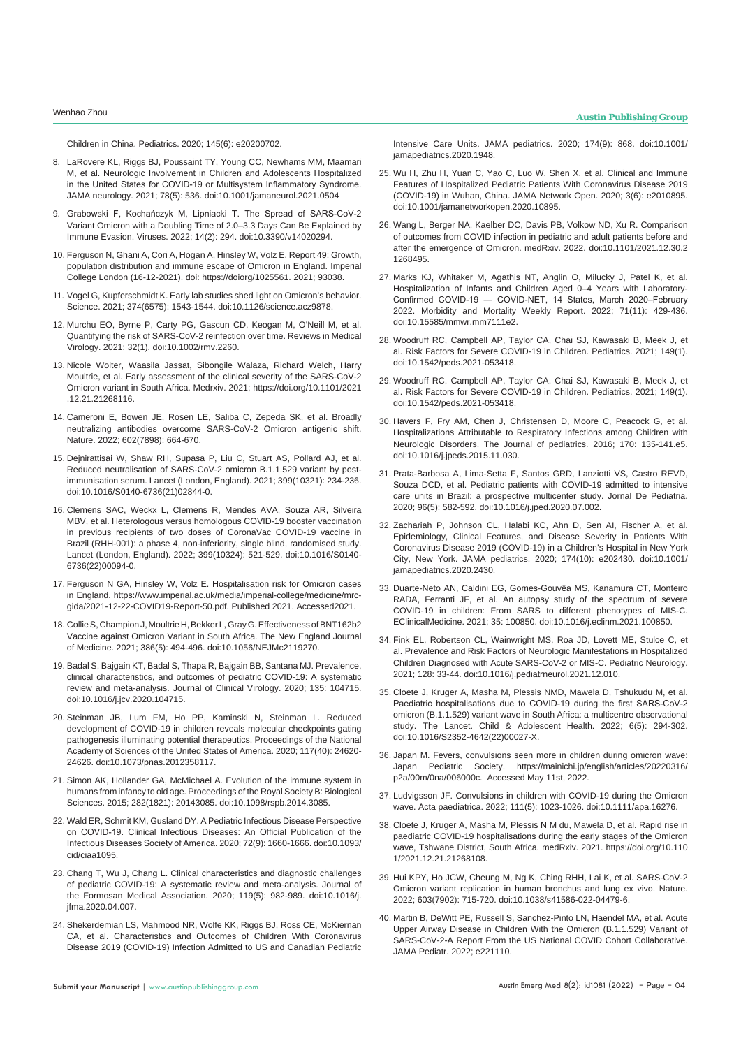- 8. LaRovere KL, Riggs BJ, Poussaint TY, Young CC, Newhams MM, Maamari [M, et al. Neurologic Involvement in Children and Adolescents Hospitalized](https://dx.doi.org/10.1001/jamaneurol.2021.0504)  [in the United States for COVID-19 or Multisystem Inflammatory Syndrome.](https://dx.doi.org/10.1001/jamaneurol.2021.0504)  [JAMA neurology. 2021; 78\(5\): 536. doi:10.1001/jamaneurol.2021.0504](https://dx.doi.org/10.1001/jamaneurol.2021.0504)
- 9. [Grabowski F, Kochańczyk M, Lipniacki T. The Spread of SARS-CoV-2](https://dx.doi.org/10.3390/v14020294)  [Variant Omicron with a Doubling Time of 2.0–3.3 Days Can Be Explained by](https://dx.doi.org/10.3390/v14020294)  [Immune Evasion. Viruses. 2022; 14\(2\): 294. doi:10.3390/v14020294.](https://dx.doi.org/10.3390/v14020294)
- 10. [Ferguson N, Ghani A, Cori A, Hogan A, Hinsley W, Volz E. Report 49: Growth,](Ferguson N, Ghani A, Cori A,%20Hogan A, Hinsley W, Volz E. Report 49: Growth, population distribution and immune escape of Omicron in England. Imperial College London (16-12-2021). doi: https:/doiorg/1025561. 2021; 93038.)  [population distribution and immune escape of Omicron in England. Imperial](Ferguson N, Ghani A, Cori A,%20Hogan A, Hinsley W, Volz E. Report 49: Growth, population distribution and immune escape of Omicron in England. Imperial College London (16-12-2021). doi: https:/doiorg/1025561. 2021; 93038.)  [College London \(16-12-2021\). doi: https://doiorg/1025561. 2021; 93038.](Ferguson N, Ghani A, Cori A,%20Hogan A, Hinsley W, Volz E. Report 49: Growth, population distribution and immune escape of Omicron in England. Imperial College London (16-12-2021). doi: https:/doiorg/1025561. 2021; 93038.)
- 11. [Vogel G, Kupferschmidt K. Early lab studies shed light on Omicron's behavior.](https://dx.doi.org/10.1126/science.acz9878)  [Science. 2021; 374\(6575\): 1543-1544. doi:10.1126/science.acz9878.](https://dx.doi.org/10.1126/science.acz9878)
- 12. [Murchu EO, Byrne P, Carty PG, Gascun CD, Keogan M, O'Neill M, et al.](https://dx.doi.org/10.1002/rmv.2260)  [Quantifying the risk of SARS-CoV-2 reinfection over time. Reviews in Medical](https://dx.doi.org/10.1002/rmv.2260)  [Virology. 2021; 32\(1\). doi:10.1002/rmv.2260](https://dx.doi.org/10.1002/rmv.2260).
- 13. [Nicole Wolter, Waasila Jassat, Sibongile Walaza, Richard Welch, Harry](Nicole Wolter, Waasila Jassat, Sibongile Walaza, Richard Welch, Harry Moultrie, et%20al. Early assessment of the clinical severity of the SARS-CoV-2 Omicron variant in South Africa. Medrxiv. 2021; https:/doi.org/10.1101/2021.12.21.21268116.)  [Moultrie, et al. Early assessment of the clinical severity of the SARS-CoV-2](Nicole Wolter, Waasila Jassat, Sibongile Walaza, Richard Welch, Harry Moultrie, et%20al. Early assessment of the clinical severity of the SARS-CoV-2 Omicron variant in South Africa. Medrxiv. 2021; https:/doi.org/10.1101/2021.12.21.21268116.)  [Omicron variant in South Africa. Medrxiv. 2021; https://doi.org/10.1101/2021](Nicole Wolter, Waasila Jassat, Sibongile Walaza, Richard Welch, Harry Moultrie, et%20al. Early assessment of the clinical severity of the SARS-CoV-2 Omicron variant in South Africa. Medrxiv. 2021; https:/doi.org/10.1101/2021.12.21.21268116.) [.12.21.21268116.](Nicole Wolter, Waasila Jassat, Sibongile Walaza, Richard Welch, Harry Moultrie, et%20al. Early assessment of the clinical severity of the SARS-CoV-2 Omicron variant in South Africa. Medrxiv. 2021; https:/doi.org/10.1101/2021.12.21.21268116.)
- 14. [Cameroni E, Bowen JE, Rosen LE, Saliba C, Zepeda SK, et al. Broadly](https://www.nature.com/articles/s41586-021-04386-2)  [neutralizing antibodies overcome SARS-CoV-2 Omicron antigenic shift.](https://www.nature.com/articles/s41586-021-04386-2)  [Nature. 2022; 602\(7898\): 664-670.](https://www.nature.com/articles/s41586-021-04386-2)
- 15. [Dejnirattisai W, Shaw RH, Supasa P, Liu C, Stuart AS, Pollard AJ, et al.](https://dx.doi.org/10.1016/S0140-6736(21)02844-0)  [Reduced neutralisation of SARS-CoV-2 omicron B.1.1.529 variant by post](https://dx.doi.org/10.1016/S0140-6736(21)02844-0)[immunisation serum. Lancet \(London, England\). 2021; 399\(10321\): 234-236.](https://dx.doi.org/10.1016/S0140-6736(21)02844-0)  [doi:10.1016/S0140-6736\(21\)02844-0.](https://dx.doi.org/10.1016/S0140-6736(21)02844-0)
- 16. [Clemens SAC, Weckx L, Clemens R, Mendes AVA, Souza AR, Silveira](https://dx.doi.org/10.1016/S0140-6736(22)00094-0)  [MBV, et al. Heterologous versus homologous COVID-19 booster vaccination](https://dx.doi.org/10.1016/S0140-6736(22)00094-0)  [in previous recipients of two doses of CoronaVac COVID-19 vaccine in](https://dx.doi.org/10.1016/S0140-6736(22)00094-0)  [Brazil \(RHH-001\): a phase 4, non-inferiority, single blind, randomised study.](https://dx.doi.org/10.1016/S0140-6736(22)00094-0)  [Lancet \(London, England\). 2022; 399\(10324\): 521-529. doi:10.1016/S0140-](https://dx.doi.org/10.1016/S0140-6736(22)00094-0) [6736\(22\)00094-0.](https://dx.doi.org/10.1016/S0140-6736(22)00094-0)
- 17. Ferguson N GA, Hinsley W, Volz E. Hospitalisation risk for Omicron cases in England. https://www.imperial.ac.uk/media/imperial-college/medicine/mrcgida/2021-12-22-COVID19-Report-50.pdf. Published 2021. Accessed2021.
- 18. [Collie S, Champion J, Moultrie H, Bekker L, Gray G. Effectiveness of BNT162b2](https://dx.doi.org/10.1056/NEJMc2119270)  [Vaccine against Omicron Variant in South Africa. The New England Journal](https://dx.doi.org/10.1056/NEJMc2119270)  [of Medicine. 2021; 386\(5\): 494-496. doi:10.1056/NEJMc2119270](https://dx.doi.org/10.1056/NEJMc2119270).
- 19. [Badal S, Bajgain KT, Badal S, Thapa R, Bajgain BB, Santana MJ. Prevalence,](https://dx.doi.org/10.1016/j.jcv.2020.104715)  [clinical characteristics, and outcomes of pediatric COVID-19: A systematic](https://dx.doi.org/10.1016/j.jcv.2020.104715)  [review and meta-analysis. Journal of Clinical Virology. 2020; 135: 104715.](https://dx.doi.org/10.1016/j.jcv.2020.104715)  [doi:10.1016/j.jcv.2020.104715](https://dx.doi.org/10.1016/j.jcv.2020.104715).
- 20. [Steinman JB, Lum FM, Ho PP, Kaminski N, Steinman L. Reduced](https://dx.doi.org/10.1073/pnas.2012358117)  [development of COVID-19 in children reveals molecular checkpoints gating](https://dx.doi.org/10.1073/pnas.2012358117)  [pathogenesis illuminating potential therapeutics. Proceedings of the National](https://dx.doi.org/10.1073/pnas.2012358117)  [Academy of Sciences of the United States of America. 2020; 117\(40\): 24620-](https://dx.doi.org/10.1073/pnas.2012358117) [24626. doi:10.1073/pnas.2012358117.](https://dx.doi.org/10.1073/pnas.2012358117)
- 21. [Simon AK, Hollander GA, McMichael A. Evolution of the immune system in](https://dx.doi.org/10.1098/rspb.2014.3085)  [humans from infancy to old age. Proceedings of the Royal Society B: Biological](https://dx.doi.org/10.1098/rspb.2014.3085)  [Sciences. 2015; 282\(1821\): 20143085. doi:10.1098/rspb.2014.3085.](https://dx.doi.org/10.1098/rspb.2014.3085)
- 22. [Wald ER, Schmit KM, Gusland DY. A Pediatric Infectious Disease Perspective](https://dx.doi.org/10.1093/cid/ciaa1095)  [on COVID-19. Clinical Infectious Diseases: An Official Publication of the](https://dx.doi.org/10.1093/cid/ciaa1095)  [Infectious Diseases Society of America. 2020; 72\(9\): 1660-1666. doi:10.1093/](https://dx.doi.org/10.1093/cid/ciaa1095) [cid/ciaa1095](https://dx.doi.org/10.1093/cid/ciaa1095).
- 23. [Chang T, Wu J, Chang L. Clinical characteristics and diagnostic challenges](https://dx.doi.org/10.1016/j.jfma.2020.04.007)  [of pediatric COVID-19: A systematic review and meta-analysis. Journal of](https://dx.doi.org/10.1016/j.jfma.2020.04.007)  [the Formosan Medical Association. 2020; 119\(5\): 982-989. doi:10.1016/j.](https://dx.doi.org/10.1016/j.jfma.2020.04.007) [jfma.2020.04.007.](https://dx.doi.org/10.1016/j.jfma.2020.04.007)
- 24. [Shekerdemian LS, Mahmood NR, Wolfe KK, Riggs BJ, Ross CE, McKiernan](https://dx.doi.org/10.1001/jamapediatrics.2020.1948)  [CA, et al. Characteristics and Outcomes of Children With Coronavirus](https://dx.doi.org/10.1001/jamapediatrics.2020.1948)  [Disease 2019 \(COVID-19\) Infection Admitted to US and Canadian Pediatric](https://dx.doi.org/10.1001/jamapediatrics.2020.1948)

[Intensive Care Units. JAMA pediatrics. 2020; 174\(9\): 868. doi:10.1001/](https://dx.doi.org/10.1001/jamapediatrics.2020.1948) [jamapediatrics.2020.1948](https://dx.doi.org/10.1001/jamapediatrics.2020.1948).

- 25. [Wu H, Zhu H, Yuan C, Yao C, Luo W, Shen X, et al. Clinical and Immune](https://dx.doi.org/10.1001/jamanetworkopen.2020.10895)  [Features of Hospitalized Pediatric Patients With Coronavirus Disease 2019](https://dx.doi.org/10.1001/jamanetworkopen.2020.10895)  [\(COVID-19\) in Wuhan, China. JAMA Network Open. 2020; 3\(6\): e2010895.](https://dx.doi.org/10.1001/jamanetworkopen.2020.10895)  [doi:10.1001/jamanetworkopen.2020.10895.](https://dx.doi.org/10.1001/jamanetworkopen.2020.10895)
- 26. [Wang L, Berger NA, Kaelber DC, Davis PB, Volkow ND, Xu R. Comparison](https://dx.doi.org/10.1101/2021.12.30.21268495)  [of outcomes from COVID infection in pediatric and adult patients before and](https://dx.doi.org/10.1101/2021.12.30.21268495)  [after the emergence of Omicron. medRxiv. 2022. doi:10.1101/2021.12.30.2](https://dx.doi.org/10.1101/2021.12.30.21268495) [1268495](https://dx.doi.org/10.1101/2021.12.30.21268495).
- 27. [Marks KJ, Whitaker M, Agathis NT, Anglin O, Milucky J, Patel K, et al.](https://dx.doi.org/10.15585/mmwr.mm7111e2)  [Hospitalization of Infants and Children Aged 0–4 Years with Laboratory-](https://dx.doi.org/10.15585/mmwr.mm7111e2)[Confirmed COVID-19 — COVID-NET, 14 States, March 2020–February](https://dx.doi.org/10.15585/mmwr.mm7111e2)  [2022. Morbidity and Mortality Weekly Report. 2022; 71\(11\): 429-436.](https://dx.doi.org/10.15585/mmwr.mm7111e2)  [doi:10.15585/mmwr.mm7111e2.](https://dx.doi.org/10.15585/mmwr.mm7111e2)
- 28. [Woodruff RC, Campbell AP, Taylor CA, Chai SJ, Kawasaki B, Meek J, et](https://dx.doi.org/10.1542/peds.2021-053418)  [al. Risk Factors for Severe COVID-19 in Children. Pediatrics. 2021; 149\(1\).](https://dx.doi.org/10.1542/peds.2021-053418)  [doi:10.1542/peds.2021-053418.](https://dx.doi.org/10.1542/peds.2021-053418)
- 29. [Woodruff RC, Campbell AP, Taylor CA, Chai SJ, Kawasaki B, Meek J, et](https://dx.doi.org/10.1542/peds.2021-053418)  [al. Risk Factors for Severe COVID-19 in Children. Pediatrics. 2021; 149\(1\).](https://dx.doi.org/10.1542/peds.2021-053418)  [doi:10.1542/peds.2021-053418.](https://dx.doi.org/10.1542/peds.2021-053418)
- 30. [Havers F, Fry AM, Chen J, Christensen D, Moore C, Peacock G, et al.](https://dx.doi.org/10.1016/j.jpeds.2015.11.030)  [Hospitalizations Attributable to Respiratory Infections among Children with](https://dx.doi.org/10.1016/j.jpeds.2015.11.030)  [Neurologic Disorders. The Journal of pediatrics. 2016; 170: 135-141.e5.](https://dx.doi.org/10.1016/j.jpeds.2015.11.030)  [doi:10.1016/j.jpeds.2015.11.030.](https://dx.doi.org/10.1016/j.jpeds.2015.11.030)
- 31. [Prata-Barbosa A, Lima-Setta F, Santos GRD, Lanziotti VS, Castro REVD,](https://dx.doi.org/10.1016/j.jped.2020.07.002)  [Souza DCD, et al. Pediatric patients with COVID-19 admitted to intensive](https://dx.doi.org/10.1016/j.jped.2020.07.002)  [care units in Brazil: a prospective multicenter study. Jornal De Pediatria.](https://dx.doi.org/10.1016/j.jped.2020.07.002)  [2020; 96\(5\): 582-592. doi:10.1016/j.jped.2020.07.002](https://dx.doi.org/10.1016/j.jped.2020.07.002).
- 32. [Zachariah P, Johnson CL, Halabi KC, Ahn D, Sen AI, Fischer A, et al.](https://dx.doi.org/10.1001/jamapediatrics.2020.2430)  [Epidemiology, Clinical Features, and Disease Severity in Patients With](https://dx.doi.org/10.1001/jamapediatrics.2020.2430)  [Coronavirus Disease 2019 \(COVID-19\) in a Children's Hospital in New York](https://dx.doi.org/10.1001/jamapediatrics.2020.2430)  [City, New York. JAMA pediatrics. 2020; 174\(10\): e202430. doi:10.1001/](https://dx.doi.org/10.1001/jamapediatrics.2020.2430) [jamapediatrics.2020.2430](https://dx.doi.org/10.1001/jamapediatrics.2020.2430).
- 33. [Duarte-Neto AN, Caldini EG, Gomes-Gouvêa MS, Kanamura CT, Monteiro](https://dx.doi.org/10.1016/j.eclinm.2021.100850)  [RADA, Ferranti JF, et al. An autopsy study of the spectrum of severe](https://dx.doi.org/10.1016/j.eclinm.2021.100850)  [COVID-19 in children: From SARS to different phenotypes of MIS-C.](https://dx.doi.org/10.1016/j.eclinm.2021.100850)  [EClinicalMedicine. 2021; 35: 100850. doi:10.1016/j.eclinm.2021.100850.](https://dx.doi.org/10.1016/j.eclinm.2021.100850)
- 34. [Fink EL, Robertson CL, Wainwright MS, Roa JD, Lovett ME, Stulce C, et](https://dx.doi.org/10.1016/j.pediatrneurol.2021.12.010)  [al. Prevalence and Risk Factors of Neurologic Manifestations in Hospitalized](https://dx.doi.org/10.1016/j.pediatrneurol.2021.12.010)  [Children Diagnosed with Acute SARS-CoV-2 or MIS-C. Pediatric Neurology.](https://dx.doi.org/10.1016/j.pediatrneurol.2021.12.010)  [2021; 128: 33-44. doi:10.1016/j.pediatrneurol.2021.12.010.](https://dx.doi.org/10.1016/j.pediatrneurol.2021.12.010)
- 35. [Cloete J, Kruger A, Masha M, Plessis NMD, Mawela D, Tshukudu M, et al.](https://dx.doi.org/10.1016/S2352-4642(22)00027-X)  [Paediatric hospitalisations due to COVID-19 during the first SARS-CoV-2](https://dx.doi.org/10.1016/S2352-4642(22)00027-X)  [omicron \(B.1.1.529\) variant wave in South Africa: a multicentre observational](https://dx.doi.org/10.1016/S2352-4642(22)00027-X)  [study. The Lancet. Child & Adolescent Health. 2022; 6\(5\): 294-302.](https://dx.doi.org/10.1016/S2352-4642(22)00027-X)  [doi:10.1016/S2352-4642\(22\)00027-X.](https://dx.doi.org/10.1016/S2352-4642(22)00027-X)
- 36. Japan M. Fevers, convulsions seen more in children during omicron wave: Japan Pediatric Society. https://mainichi.jp/english/articles/20220316/ p2a/00m/0na/006000c. Accessed May 11st, 2022.
- 37. [Ludvigsson JF. Convulsions in children with COVID-19 during the Omicron](https://dx.doi.org/10.1111/apa.16276)  [wave. Acta paediatrica. 2022; 111\(5\): 1023-1026. doi:10.1111/apa.16276.](https://dx.doi.org/10.1111/apa.16276)
- 38. [Cloete J, Kruger A, Masha M, Plessis N M du, Mawela D, et al. Rapid rise in](Cloete J, Kruger A, Masha M, Plessis N M du, Mawela D, et al. Rapid rise in paediatric COVID-19 hospitalisations during the early stages of the Omicron wave, Tshwane District, South Africa. medRxiv. 2021. https:/doi.org/10.1101/2021.12.21.21268108.)  [paediatric COVID-19 hospitalisations during the early stages of the Omicron](Cloete J, Kruger A, Masha M, Plessis N M du, Mawela D, et al. Rapid rise in paediatric COVID-19 hospitalisations during the early stages of the Omicron wave, Tshwane District, South Africa. medRxiv. 2021. https:/doi.org/10.1101/2021.12.21.21268108.)  [wave, Tshwane District, South Africa. medRxiv. 2021. https://doi.org/10.110](Cloete J, Kruger A, Masha M, Plessis N M du, Mawela D, et al. Rapid rise in paediatric COVID-19 hospitalisations during the early stages of the Omicron wave, Tshwane District, South Africa. medRxiv. 2021. https:/doi.org/10.1101/2021.12.21.21268108.) [1/2021.12.21.21268108.](Cloete J, Kruger A, Masha M, Plessis N M du, Mawela D, et al. Rapid rise in paediatric COVID-19 hospitalisations during the early stages of the Omicron wave, Tshwane District, South Africa. medRxiv. 2021. https:/doi.org/10.1101/2021.12.21.21268108.)
- 39. [Hui KPY, Ho JCW, Cheung M, Ng K, Ching RHH, Lai K, et al. SARS-CoV-2](https://dx.doi.org/10.1038/s41586-022-04479-6)  [Omicron variant replication in human bronchus and lung ex vivo. Nature.](https://dx.doi.org/10.1038/s41586-022-04479-6)  [2022; 603\(7902\): 715-720. doi:10.1038/s41586-022-04479-6](https://dx.doi.org/10.1038/s41586-022-04479-6).
- 40. [Martin B, DeWitt PE, Russell S, Sanchez-Pinto LN, Haendel MA, et al. Acute](https://pubmed.ncbi.nlm.nih.gov/35426941/)  [Upper Airway Disease in Children With the Omicron \(B.1.1.529\) Variant of](https://pubmed.ncbi.nlm.nih.gov/35426941/)  [SARS-CoV-2-A Report From the US National COVID Cohort Collaborative.](https://pubmed.ncbi.nlm.nih.gov/35426941/)  [JAMA Pediatr. 2022; e221110.](https://pubmed.ncbi.nlm.nih.gov/35426941/)